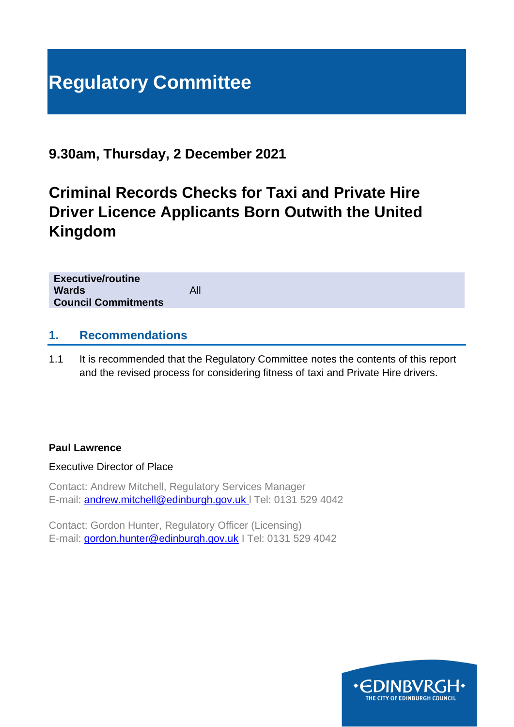# **Regulatory Committee**

# **9.30am, Thursday, 2 December 2021**

# **Criminal Records Checks for Taxi and Private Hire Driver Licence Applicants Born Outwith the United Kingdom**

| <b>Executive/routine</b><br><b>Wards</b><br><b>Council Commitments</b> | All |
|------------------------------------------------------------------------|-----|
|                                                                        |     |

#### **1. Recommendations**

1.1 It is recommended that the Regulatory Committee notes the contents of this report and the revised process for considering fitness of taxi and Private Hire drivers.

#### **Paul Lawrence**

Executive Director of Place

Contact: Andrew Mitchell, Regulatory Services Manager E-mail: [andrew.mitchell@edinburgh.gov.uk](mailto:andrew.mitchell@edinburgh.gov.uk) l Tel: 0131 529 4042

Contact: Gordon Hunter, Regulatory Officer (Licensing) E-mail: [gordon.hunter@edinburgh.gov.uk](mailto:gordon.hunter@edinburgh.gov.uk) I Tel: 0131 529 4042

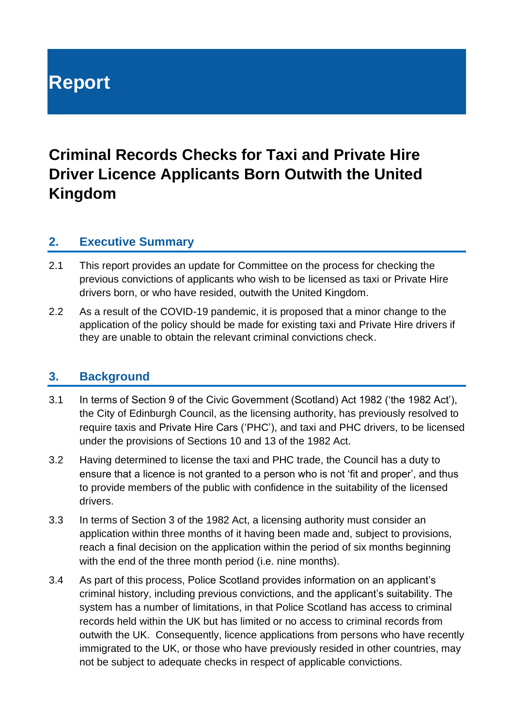# **Report**

# **Criminal Records Checks for Taxi and Private Hire Driver Licence Applicants Born Outwith the United Kingdom**

#### **2. Executive Summary**

- 2.1 This report provides an update for Committee on the process for checking the previous convictions of applicants who wish to be licensed as taxi or Private Hire drivers born, or who have resided, outwith the United Kingdom.
- 2.2 As a result of the COVID-19 pandemic, it is proposed that a minor change to the application of the policy should be made for existing taxi and Private Hire drivers if they are unable to obtain the relevant criminal convictions check.

#### **3. Background**

- 3.1 In terms of Section 9 of the Civic Government (Scotland) Act 1982 ('the 1982 Act'), the City of Edinburgh Council, as the licensing authority, has previously resolved to require taxis and Private Hire Cars ('PHC'), and taxi and PHC drivers, to be licensed under the provisions of Sections 10 and 13 of the 1982 Act.
- 3.2 Having determined to license the taxi and PHC trade, the Council has a duty to ensure that a licence is not granted to a person who is not 'fit and proper', and thus to provide members of the public with confidence in the suitability of the licensed drivers.
- 3.3 In terms of Section 3 of the 1982 Act, a licensing authority must consider an application within three months of it having been made and, subject to provisions, reach a final decision on the application within the period of six months beginning with the end of the three month period (i.e. nine months).
- 3.4 As part of this process, Police Scotland provides information on an applicant's criminal history, including previous convictions, and the applicant's suitability. The system has a number of limitations, in that Police Scotland has access to criminal records held within the UK but has limited or no access to criminal records from outwith the UK. Consequently, licence applications from persons who have recently immigrated to the UK, or those who have previously resided in other countries, may not be subject to adequate checks in respect of applicable convictions.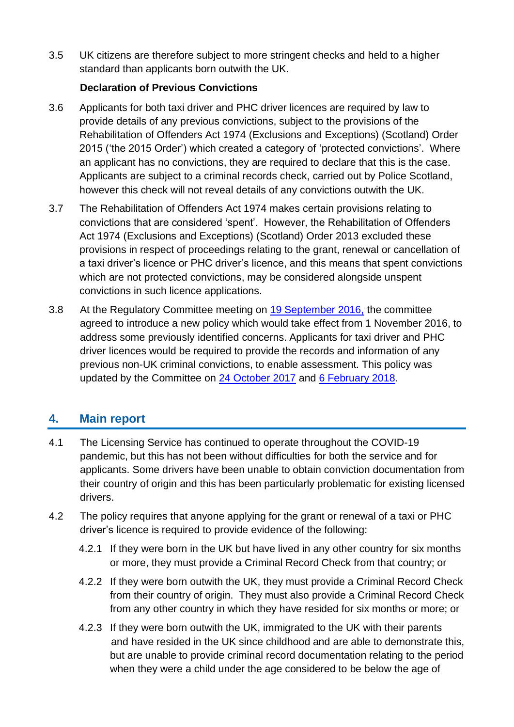3.5 UK citizens are therefore subject to more stringent checks and held to a higher standard than applicants born outwith the UK.

#### **Declaration of Previous Convictions**

- 3.6 Applicants for both taxi driver and PHC driver licences are required by law to provide details of any previous convictions, subject to the provisions of the Rehabilitation of Offenders Act 1974 (Exclusions and Exceptions) (Scotland) Order 2015 ('the 2015 Order') which created a category of 'protected convictions'. Where an applicant has no convictions, they are required to declare that this is the case. Applicants are subject to a criminal records check, carried out by Police Scotland, however this check will not reveal details of any convictions outwith the UK.
- 3.7 The Rehabilitation of Offenders Act 1974 makes certain provisions relating to convictions that are considered 'spent'. However, the Rehabilitation of Offenders Act 1974 (Exclusions and Exceptions) (Scotland) Order 2013 excluded these provisions in respect of proceedings relating to the grant, renewal or cancellation of a taxi driver's licence or PHC driver's licence, and this means that spent convictions which are not protected convictions, may be considered alongside unspent convictions in such licence applications.
- 3.8 At the Regulatory Committee meeting on [19 September 2016,](https://democracy.edinburgh.gov.uk/Data/Regulatory%20Committee/20160919/Agenda/full_meeting_papers.pdf) the committee agreed to introduce a new policy which would take effect from 1 November 2016, to address some previously identified concerns. Applicants for taxi driver and PHC driver licences would be required to provide the records and information of any previous non-UK criminal convictions, to enable assessment. This policy was updated by the Committee on [24 October 2017](https://democracy.edinburgh.gov.uk/Data/Regulatory%20Committee/20171024/Agenda/item_62_-_production_of_criminal_records_checks_for_taxi_and_private_hire_car_drivers_licence_applicants_born_outwith_the_uk.pdf) and [6 February](https://democracy.edinburgh.gov.uk/Data/Regulatory%20Committee/20180206/Agenda/item_61_-_criminal_records_checks_for_taxi_and_private_hire_car_drivers_licence_applicants_born_outwith_the_uk.pdf) 2018.

# **4. Main report**

- 4.1 The Licensing Service has continued to operate throughout the COVID-19 pandemic, but this has not been without difficulties for both the service and for applicants. Some drivers have been unable to obtain conviction documentation from their country of origin and this has been particularly problematic for existing licensed drivers.
- 4.2 The policy requires that anyone applying for the grant or renewal of a taxi or PHC driver's licence is required to provide evidence of the following:
	- 4.2.1 If they were born in the UK but have lived in any other country for six months or more, they must provide a Criminal Record Check from that country; or
	- 4.2.2 If they were born outwith the UK, they must provide a Criminal Record Check from their country of origin. They must also provide a Criminal Record Check from any other country in which they have resided for six months or more; or
	- 4.2.3 If they were born outwith the UK, immigrated to the UK with their parents and have resided in the UK since childhood and are able to demonstrate this, but are unable to provide criminal record documentation relating to the period when they were a child under the age considered to be below the age of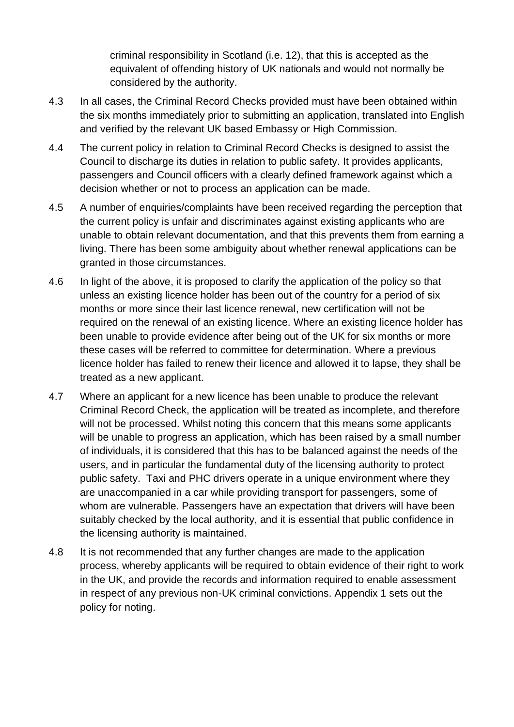criminal responsibility in Scotland (i.e. 12), that this is accepted as the equivalent of offending history of UK nationals and would not normally be considered by the authority.

- 4.3 In all cases, the Criminal Record Checks provided must have been obtained within the six months immediately prior to submitting an application, translated into English and verified by the relevant UK based Embassy or High Commission.
- 4.4 The current policy in relation to Criminal Record Checks is designed to assist the Council to discharge its duties in relation to public safety. It provides applicants, passengers and Council officers with a clearly defined framework against which a decision whether or not to process an application can be made.
- 4.5 A number of enquiries/complaints have been received regarding the perception that the current policy is unfair and discriminates against existing applicants who are unable to obtain relevant documentation, and that this prevents them from earning a living. There has been some ambiguity about whether renewal applications can be granted in those circumstances.
- 4.6 In light of the above, it is proposed to clarify the application of the policy so that unless an existing licence holder has been out of the country for a period of six months or more since their last licence renewal, new certification will not be required on the renewal of an existing licence. Where an existing licence holder has been unable to provide evidence after being out of the UK for six months or more these cases will be referred to committee for determination. Where a previous licence holder has failed to renew their licence and allowed it to lapse, they shall be treated as a new applicant.
- 4.7 Where an applicant for a new licence has been unable to produce the relevant Criminal Record Check, the application will be treated as incomplete, and therefore will not be processed. Whilst noting this concern that this means some applicants will be unable to progress an application, which has been raised by a small number of individuals, it is considered that this has to be balanced against the needs of the users, and in particular the fundamental duty of the licensing authority to protect public safety. Taxi and PHC drivers operate in a unique environment where they are unaccompanied in a car while providing transport for passengers, some of whom are vulnerable. Passengers have an expectation that drivers will have been suitably checked by the local authority, and it is essential that public confidence in the licensing authority is maintained.
- 4.8 It is not recommended that any further changes are made to the application process, whereby applicants will be required to obtain evidence of their right to work in the UK, and provide the records and information required to enable assessment in respect of any previous non-UK criminal convictions. Appendix 1 sets out the policy for noting.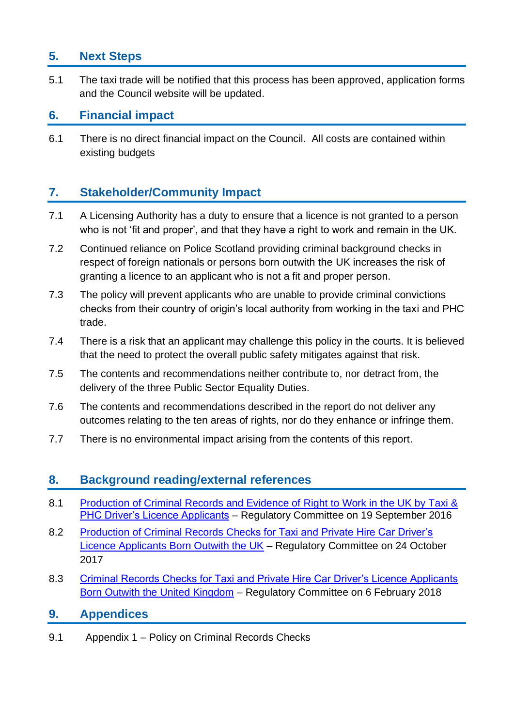## **5. Next Steps**

5.1 The taxi trade will be notified that this process has been approved, application forms and the Council website will be updated.

### **6. Financial impact**

6.1 There is no direct financial impact on the Council. All costs are contained within existing budgets

# **7. Stakeholder/Community Impact**

- 7.1 A Licensing Authority has a duty to ensure that a licence is not granted to a person who is not 'fit and proper', and that they have a right to work and remain in the UK.
- 7.2 Continued reliance on Police Scotland providing criminal background checks in respect of foreign nationals or persons born outwith the UK increases the risk of granting a licence to an applicant who is not a fit and proper person.
- 7.3 The policy will prevent applicants who are unable to provide criminal convictions checks from their country of origin's local authority from working in the taxi and PHC trade.
- 7.4 There is a risk that an applicant may challenge this policy in the courts. It is believed that the need to protect the overall public safety mitigates against that risk.
- 7.5 The contents and recommendations neither contribute to, nor detract from, the delivery of the three Public Sector Equality Duties.
- 7.6 The contents and recommendations described in the report do not deliver any outcomes relating to the ten areas of rights, nor do they enhance or infringe them.
- 7.7 There is no environmental impact arising from the contents of this report.

### **8. Background reading/external references**

- 8.1 [Production of Criminal Records and Evidence of](https://democracy.edinburgh.gov.uk/Data/Regulatory%20Committee/20160919/Agenda/full_meeting_papers.pdf) Right to Work in the UK by Taxi & [PHC Driver's Licence Applicants](https://democracy.edinburgh.gov.uk/Data/Regulatory%20Committee/20160919/Agenda/full_meeting_papers.pdf) – Regulatory Committee on 19 September 2016
- 8.2 Production of Criminal Records Checks for Taxi and Private Hire Car Driver's [Licence Applicants Born Outwith the UK](https://democracy.edinburgh.gov.uk/Data/Regulatory%20Committee/20171024/Agenda/item_62_-_production_of_criminal_records_checks_for_taxi_and_private_hire_car_drivers_licence_applicants_born_outwith_the_uk.pdf) – Regulatory Committee on 24 October 2017
- 8.3 [Criminal Records Checks for Taxi and Private Hire Car Driver's Licence Applicants](https://democracy.edinburgh.gov.uk/Data/Regulatory%20Committee/20180206/Agenda/item_61_-_criminal_records_checks_for_taxi_and_private_hire_car_drivers_licence_applicants_born_outwith_the_uk.pdf)  [Born Outwith the United Kingdom](https://democracy.edinburgh.gov.uk/Data/Regulatory%20Committee/20180206/Agenda/item_61_-_criminal_records_checks_for_taxi_and_private_hire_car_drivers_licence_applicants_born_outwith_the_uk.pdf) – Regulatory Committee on 6 February 2018

#### **9. Appendices**

9.1 Appendix 1 – Policy on Criminal Records Checks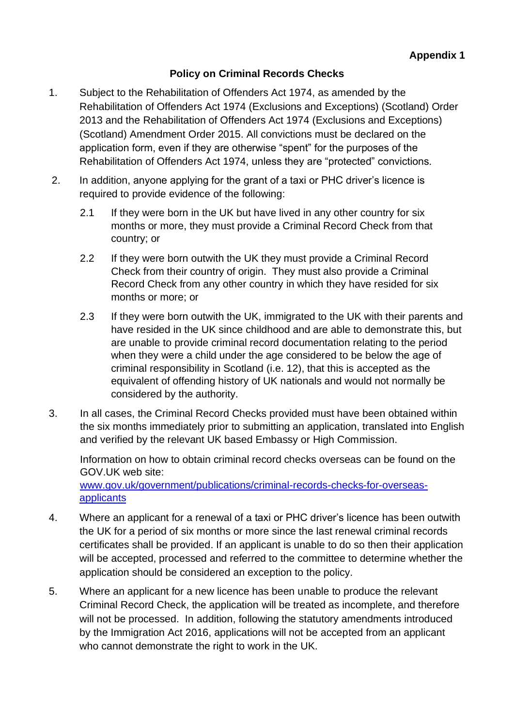#### **Policy on Criminal Records Checks**

- 1. Subject to the Rehabilitation of Offenders Act 1974, as amended by the Rehabilitation of Offenders Act 1974 (Exclusions and Exceptions) (Scotland) Order 2013 and the Rehabilitation of Offenders Act 1974 (Exclusions and Exceptions) (Scotland) Amendment Order 2015. All convictions must be declared on the application form, even if they are otherwise "spent" for the purposes of the Rehabilitation of Offenders Act 1974, unless they are "protected" convictions.
- 2. In addition, anyone applying for the grant of a taxi or PHC driver's licence is required to provide evidence of the following:
	- 2.1 If they were born in the UK but have lived in any other country for six months or more, they must provide a Criminal Record Check from that country; or
	- 2.2 If they were born outwith the UK they must provide a Criminal Record Check from their country of origin. They must also provide a Criminal Record Check from any other country in which they have resided for six months or more; or
	- 2.3 If they were born outwith the UK, immigrated to the UK with their parents and have resided in the UK since childhood and are able to demonstrate this, but are unable to provide criminal record documentation relating to the period when they were a child under the age considered to be below the age of criminal responsibility in Scotland (i.e. 12), that this is accepted as the equivalent of offending history of UK nationals and would not normally be considered by the authority.
- 3. In all cases, the Criminal Record Checks provided must have been obtained within the six months immediately prior to submitting an application, translated into English and verified by the relevant UK based Embassy or High Commission.

Information on how to obtain criminal record checks overseas can be found on the GOV.UK web site: [www.gov.uk/government/publications/criminal-records-checks-for-overseas](http://www.gov.uk/government/publications/criminal-records-checks-for-overseas-applicants)[applicants](http://www.gov.uk/government/publications/criminal-records-checks-for-overseas-applicants)

- 4. Where an applicant for a renewal of a taxi or PHC driver's licence has been outwith the UK for a period of six months or more since the last renewal criminal records certificates shall be provided. If an applicant is unable to do so then their application will be accepted, processed and referred to the committee to determine whether the application should be considered an exception to the policy.
- 5. Where an applicant for a new licence has been unable to produce the relevant Criminal Record Check, the application will be treated as incomplete, and therefore will not be processed. In addition, following the statutory amendments introduced by the Immigration Act 2016, applications will not be accepted from an applicant who cannot demonstrate the right to work in the UK.